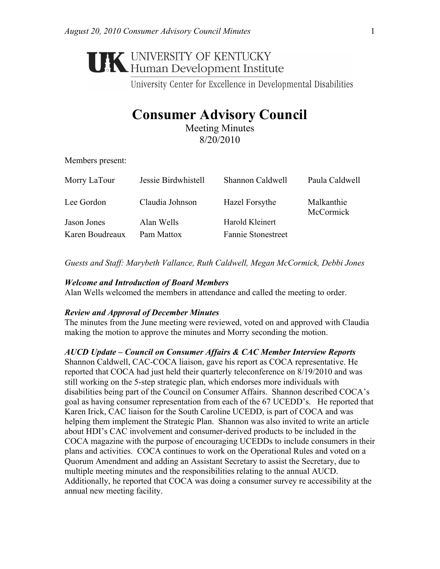# **UNIVERSITY OF KENTUCKY**<br>Human Development Institute

University Center for Excellence in Developmental Disabilities

# **Consumer Advisory Council**

Meeting Minutes 8/20/2010

Members present:

| Morry LaTour    | Jessie Birdwhistell | Shannon Caldwell          | Paula Caldwell                 |
|-----------------|---------------------|---------------------------|--------------------------------|
| Lee Gordon      | Claudia Johnson     | Hazel Forsythe            | Malkanthie<br><b>McCormick</b> |
| Jason Jones     | Alan Wells          | Harold Kleinert           |                                |
| Karen Boudreaux | Pam Mattox          | <b>Fannie Stonestreet</b> |                                |

*Guests and Staff: Marybeth Vallance, Ruth Caldwell, Megan McCormick, Debbi Jones* 

#### *Welcome and Introduction of Board Members*

Alan Wells welcomed the members in attendance and called the meeting to order.

#### *Review and Approval of December Minutes*

The minutes from the June meeting were reviewed, voted on and approved with Claudia making the motion to approve the minutes and Morry seconding the motion.

### *AUCD Update – Council on Consumer Affairs & CAC Member Interview Reports*

Shannon Caldwell, CAC-COCA liaison, gave his report as COCA representative. He reported that COCA had just held their quarterly teleconference on 8/19/2010 and was still working on the 5-step strategic plan, which endorses more individuals with disabilities being part of the Council on Consumer Affairs. Shannon described COCA's goal as having consumer representation from each of the 67 UCEDD's. He reported that Karen Irick, CAC liaison for the South Caroline UCEDD, is part of COCA and was helping them implement the Strategic Plan. Shannon was also invited to write an article about HDI's CAC involvement and consumer-derived products to be included in the COCA magazine with the purpose of encouraging UCEDDs to include consumers in their plans and activities. COCA continues to work on the Operational Rules and voted on a Quorum Amendment and adding an Assistant Secretary to assist the Secretary, due to multiple meeting minutes and the responsibilities relating to the annual AUCD. Additionally, he reported that COCA was doing a consumer survey re accessibility at the annual new meeting facility.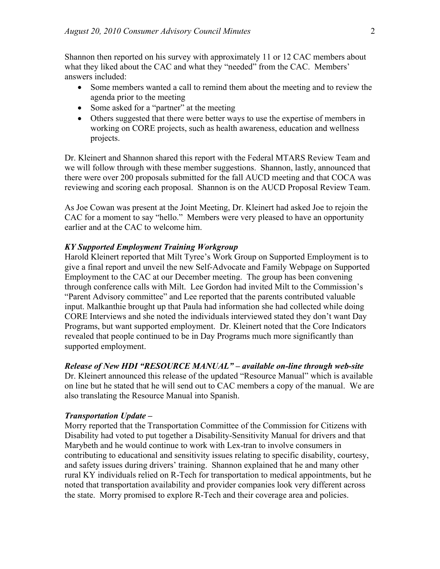Shannon then reported on his survey with approximately 11 or 12 CAC members about what they liked about the CAC and what they "needed" from the CAC. Members' answers included:

- Some members wanted a call to remind them about the meeting and to review the agenda prior to the meeting
- Some asked for a "partner" at the meeting
- Others suggested that there were better ways to use the expertise of members in working on CORE projects, such as health awareness, education and wellness projects.

Dr. Kleinert and Shannon shared this report with the Federal MTARS Review Team and we will follow through with these member suggestions. Shannon, lastly, announced that there were over 200 proposals submitted for the fall AUCD meeting and that COCA was reviewing and scoring each proposal. Shannon is on the AUCD Proposal Review Team.

As Joe Cowan was present at the Joint Meeting, Dr. Kleinert had asked Joe to rejoin the CAC for a moment to say "hello." Members were very pleased to have an opportunity earlier and at the CAC to welcome him.

#### *KY Supported Employment Training Workgroup*

Harold Kleinert reported that Milt Tyree's Work Group on Supported Employment is to give a final report and unveil the new Self-Advocate and Family Webpage on Supported Employment to the CAC at our December meeting. The group has been convening through conference calls with Milt. Lee Gordon had invited Milt to the Commission's "Parent Advisory committee" and Lee reported that the parents contributed valuable input. Malkanthie brought up that Paula had information she had collected while doing CORE Interviews and she noted the individuals interviewed stated they don't want Day Programs, but want supported employment. Dr. Kleinert noted that the Core Indicators revealed that people continued to be in Day Programs much more significantly than supported employment.

#### *Release of New HDI "RESOURCE MANUAL" – available on-line through web-site*

Dr. Kleinert announced this release of the updated "Resource Manual" which is available on line but he stated that he will send out to CAC members a copy of the manual. We are also translating the Resource Manual into Spanish.

#### *Transportation Update –*

Morry reported that the Transportation Committee of the Commission for Citizens with Disability had voted to put together a Disability-Sensitivity Manual for drivers and that Marybeth and he would continue to work with Lex-tran to involve consumers in contributing to educational and sensitivity issues relating to specific disability, courtesy, and safety issues during drivers' training. Shannon explained that he and many other rural KY individuals relied on R-Tech for transportation to medical appointments, but he noted that transportation availability and provider companies look very different across the state. Morry promised to explore R-Tech and their coverage area and policies.